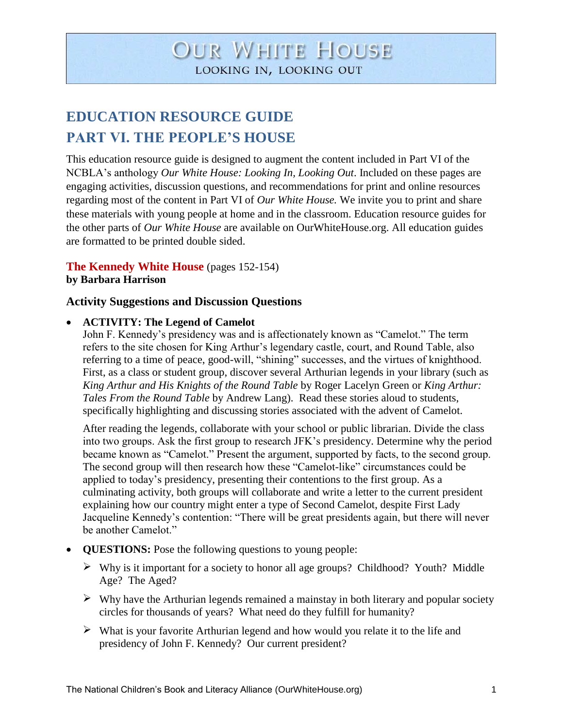# **OUR WHITE HOUSE** LOOKING IN, LOOKING OUT

# **EDUCATION RESOURCE GUIDE PART VI. THE PEOPLE'S HOUSE**

This education resource guide is designed to augment the content included in Part VI of the NCBLA's anthology *Our White House: Looking In, Looking Out*. Included on these pages are engaging activities, discussion questions, and recommendations for print and online resources regarding most of the content in Part VI of *Our White House.* We invite you to print and share these materials with young people at home and in the classroom. Education resource guides for the other parts of *Our White House* are available on OurWhiteHouse.org. All education guides are formatted to be printed double sided.

## **The Kennedy White House** (pages 152-154)

**by Barbara Harrison**

#### **Activity Suggestions and Discussion Questions**

#### **ACTIVITY: The Legend of Camelot**

John F. Kennedy's presidency was and is affectionately known as "Camelot." The term refers to the site chosen for King Arthur's legendary castle, court, and Round Table, also referring to a time of peace, good-will, "shining" successes, and the virtues of knighthood. First, as a class or student group, discover several Arthurian legends in your library (such as *King Arthur and His Knights of the Round Table* by Roger Lacelyn Green or *King Arthur: Tales From the Round Table* by Andrew Lang). Read these stories aloud to students, specifically highlighting and discussing stories associated with the advent of Camelot.

After reading the legends, collaborate with your school or public librarian. Divide the class into two groups. Ask the first group to research JFK's presidency. Determine why the period became known as "Camelot." Present the argument, supported by facts, to the second group. The second group will then research how these "Camelot-like" circumstances could be applied to today's presidency, presenting their contentions to the first group. As a culminating activity, both groups will collaborate and write a letter to the current president explaining how our country might enter a type of Second Camelot, despite First Lady Jacqueline Kennedy's contention: "There will be great presidents again, but there will never be another Camelot."

- **QUESTIONS:** Pose the following questions to young people:
	- $\triangleright$  Why is it important for a society to honor all age groups? Childhood? Youth? Middle Age? The Aged?
	- $\triangleright$  Why have the Arthurian legends remained a mainstay in both literary and popular society circles for thousands of years? What need do they fulfill for humanity?
	- $\triangleright$  What is your favorite Arthurian legend and how would you relate it to the life and presidency of John F. Kennedy? Our current president?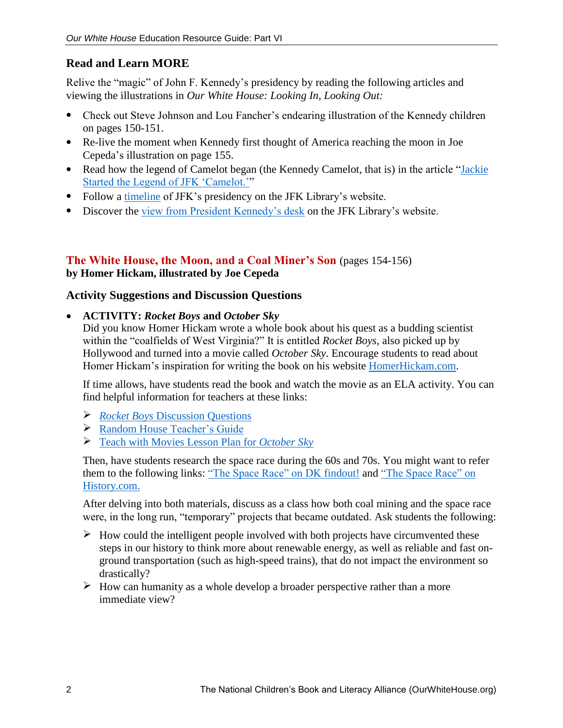# **Read and Learn MORE**

Relive the "magic" of John F. Kennedy's presidency by reading the following articles and viewing the illustrations in *Our White House: Looking In, Looking Out:* 

- Check out Steve Johnson and Lou Fancher's endearing illustration of the Kennedy children on pages 150-151.
- Re-live the moment when Kennedy first thought of America reaching the moon in Joe Cepeda's illustration on page 155.
- Read how the legend of Camelot began (the Kennedy Camelot, that is) in the article "Jackie [Started the Legend of JFK 'Camelot.'"](http://www.wsj.com/articles/SB10001424052702304791704579212040151427918)
- Follow a [timeline](http://whd.jfklibrary.org/Timeline/) of JFK's presidency on the JFK Library's website.
- Discover the [view from President Kennedy's desk](http://microsites.jfklibrary.org/presidentsdesk/) on the JFK Library's website.

## **The White House, the Moon, and a Coal Miner's Son** (pages 154-156) **by Homer Hickam, illustrated by Joe Cepeda**

## **Activity Suggestions and Discussion Questions**

## **ACTIVITY:** *Rocket Boys* **and** *October Sky*

Did you know Homer Hickam wrote a whole book about his quest as a budding scientist within the "coalfields of West Virginia?" It is entitled *Rocket Boys*, also picked up by Hollywood and turned into a movie called *October Sky*. Encourage students to read about Homer Hickam's inspiration for writing the book on his website [HomerHickam.com.](http://homerhickam.com/project/rocket-boys/)

If time allows, have students read the book and watch the movie as an ELA activity. You can find helpful information for teachers at these links:

- *Rocket Boys* [Discussion Questions](http://homerhickam.com/rocket-boys-discussion-questions/)
- [Random House Teacher's Guide](http://www.randomhouse.com/highschool/catalog/display.pperl?isbn=9780440235507&view=tg)
- [Teach with Movies Lesson Plan for](http://www.teachwithmovies.org/guides/october-sky.html) *October Sky*

Then, have students research the space race during the 60s and 70s. You might want to refer them to the following links: "The Space Race" on DK [findout!](http://www.dkfindout.com/us/space/space-race/) and ["The Space Race" on](http://www.history.com/topics/space-race)  [History.com.](http://www.history.com/topics/space-race)

After delving into both materials, discuss as a class how both coal mining and the space race were, in the long run, "temporary" projects that became outdated. Ask students the following:

- $\triangleright$  How could the intelligent people involved with both projects have circumvented these steps in our history to think more about renewable energy, as well as reliable and fast onground transportation (such as high-speed trains), that do not impact the environment so drastically?
- $\triangleright$  How can humanity as a whole develop a broader perspective rather than a more immediate view?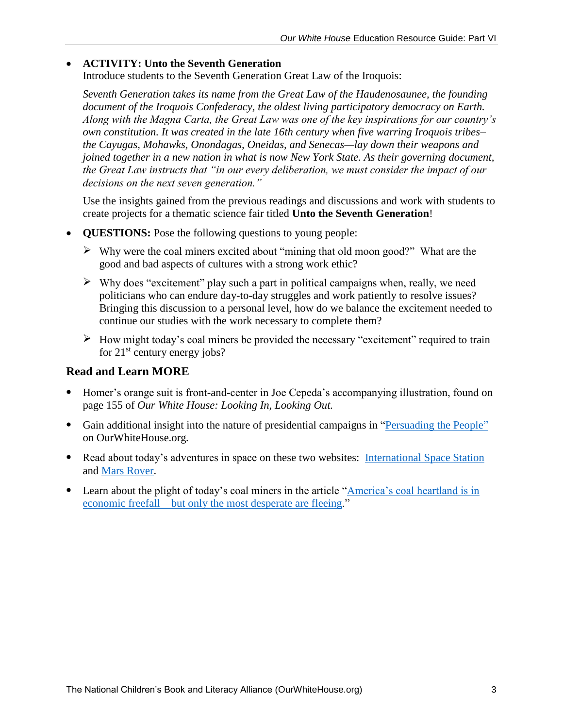#### **ACTIVITY: Unto the Seventh Generation**

Introduce students to the Seventh Generation Great Law of the Iroquois:

*Seventh Generation takes its name from the Great Law of the Haudenosaunee, the founding document of the Iroquois Confederacy, the oldest living participatory democracy on Earth. Along with the Magna Carta, the Great Law was one of the key inspirations for our country's own constitution. It was created in the late 16th century when five warring Iroquois tribes– the Cayugas, Mohawks, Onondagas, Oneidas, and Senecas—lay down their weapons and joined together in a new nation in what is now New York State. As their governing document, the Great Law instructs that "in our every deliberation, we must consider the impact of our decisions on the next seven generation."*

Use the insights gained from the previous readings and discussions and work with students to create projects for a thematic science fair titled **Unto the Seventh Generation**!

- **QUESTIONS:** Pose the following questions to young people:
	- $\triangleright$  Why were the coal miners excited about "mining that old moon good?" What are the good and bad aspects of cultures with a strong work ethic?
	- $\triangleright$  Why does "excitement" play such a part in political campaigns when, really, we need politicians who can endure day-to-day struggles and work patiently to resolve issues? Bringing this discussion to a personal level, how do we balance the excitement needed to continue our studies with the work necessary to complete them?
	- $\triangleright$  How might today's coal miners be provided the necessary "excitement" required to train for  $21^{st}$  century energy jobs?

- Homer's orange suit is front-and-center in Joe Cepeda's accompanying illustration, found on page 155 of *Our White House: Looking In, Looking Out.*
- Gain additional insight into the nature of presidential campaigns in ["Persuading the People"](http://ourwhitehouse.org/persuading-people-presidential-campaigns/) on OurWhiteHouse.org*.*
- Read about today's adventures in space on these two websites: [International Space Station](https://www.nasa.gov/mission_pages/station/main/index.html) and [Mars Rover.](https://www.nasa.gov/mission_pages/msl/index.html)
- Learn about the plight of today's coal miners in the article ["America's coal heartland is in](https://www.washingtonpost.com/news/storyline/wp/2014/08/27/americas-coal-heartland-is-in-economic-freefall-but-only-the-most-desperate-are-fleeing/)  [economic freefall—but only the most desperate are fleeing.](https://www.washingtonpost.com/news/storyline/wp/2014/08/27/americas-coal-heartland-is-in-economic-freefall-but-only-the-most-desperate-are-fleeing/)"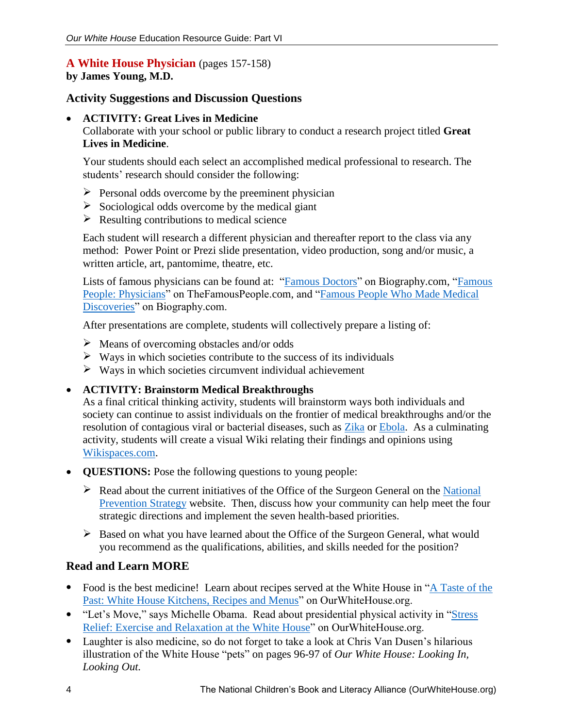#### **A White House Physician** (pages 157-158) **by James Young, M.D.**

### **Activity Suggestions and Discussion Questions**

#### **ACTIVITY: Great Lives in Medicine**

Collaborate with your school or public library to conduct a research project titled **Great Lives in Medicine**.

Your students should each select an accomplished medical professional to research. The students' research should consider the following:

- $\triangleright$  Personal odds overcome by the preeminent physician
- $\triangleright$  Sociological odds overcome by the medical giant
- $\triangleright$  Resulting contributions to medical science

Each student will research a different physician and thereafter report to the class via any method: Power Point or Prezi slide presentation, video production, song and/or music, a written article, art, pantomime, theatre, etc.

Lists of famous physicians can be found at: ["Famous Doctors"](http://www.biography.com/people/groups/doctors) on Biography.com, "Famous [People: Physicians"](http://www.thefamouspeople.com/physicians.php) on TheFamousPeople.com, and "Famous People Who Made Medical [Discoveries"](http://www.biography.com/people/groups/discovery-medical) on Biography.com.

After presentations are complete, students will collectively prepare a listing of:

- $\triangleright$  Means of overcoming obstacles and/or odds
- $\triangleright$  Ways in which societies contribute to the success of its individuals
- $\triangleright$  Ways in which societies circumvent individual achievement
- **ACTIVITY: Brainstorm Medical Breakthroughs**

As a final critical thinking activity, students will brainstorm ways both individuals and society can continue to assist individuals on the frontier of medical breakthroughs and/or the resolution of contagious viral or bacterial diseases, such as [Zika](http://www.who.int/mediacentre/factsheets/zika/en/) or [Ebola.](http://www.who.int/mediacentre/factsheets/fs103/en/) As a culminating activity, students will create a visual Wiki relating their findings and opinions using [Wikispaces.com.](http://www.wikispaces.com/content/classroom)

- **QUESTIONS:** Pose the following questions to young people:
	- $\triangleright$  Read about the current initiatives of the Office of the Surgeon General on the National [Prevention Strategy](http://www.surgeongeneral.gov/priorities/prevention/strategy/index.html) website. Then, discuss how your community can help meet the four strategic directions and implement the seven health-based priorities.
	- $\triangleright$  Based on what you have learned about the Office of the Surgeon General, what would you recommend as the qualifications, abilities, and skills needed for the position?

- Food is the best medicine! Learn about recipes served at the White House in "A Taste of the [Past: White House Kitchens, Recipes and Menus"](http://ourwhitehouse.org/a-taste-of-the-past/) on OurWhiteHouse.org.
- "Let's Move," says Michelle Obama. Read about presidential physical activity in "Stress" [Relief: Exercise and Relaxation at the White House"](http://ourwhitehouse.org/stress-relief-exercise-and-relaxation-at-the-white-house/) on OurWhiteHouse.org.
- Laughter is also medicine, so do not forget to take a look at Chris Van Dusen's hilarious illustration of the White House "pets" on pages 96-97 of *Our White House: Looking In, Looking Out.*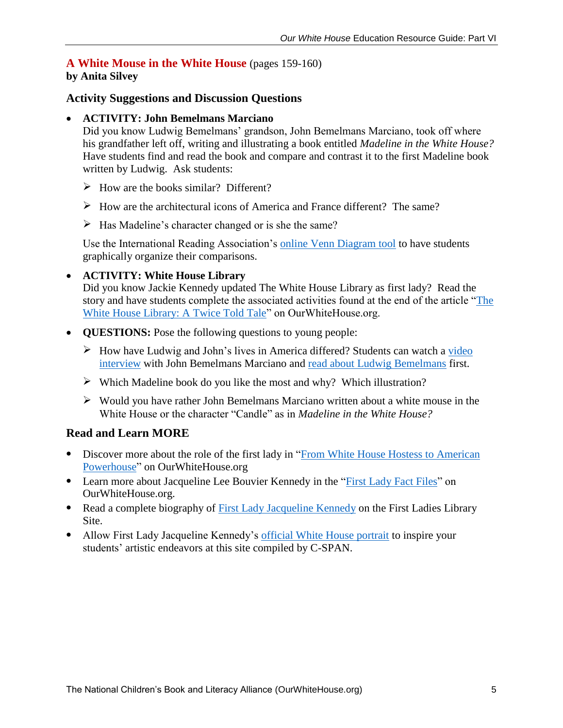# **A White Mouse in the White House** (pages 159-160)

# **by Anita Silvey**

## **Activity Suggestions and Discussion Questions**

#### **ACTIVITY: John Bemelmans Marciano**

Did you know Ludwig Bemelmans' grandson, John Bemelmans Marciano, took off where his grandfather left off, writing and illustrating a book entitled *Madeline in the White House?*  Have students find and read the book and compare and contrast it to the first Madeline book written by Ludwig. Ask students:

- $\triangleright$  How are the books similar? Different?
- $\triangleright$  How are the architectural icons of America and France different? The same?
- $\triangleright$  Has Madeline's character changed or is she the same?

Use the International Reading Association's online [Venn Diagram tool](http://www.readwritethink.org/classroom-resources/student-interactives/venn-diagram-30973.html) to have students graphically organize their comparisons.

#### **ACTIVITY: White House Library**

Did you know Jackie Kennedy updated The White House Library as first lady? Read the story and have students complete the associated activities found at the end of the article ["The](http://ourwhitehouse.org/the-white-house-library-a-twice-told-tale/)  [White House Library: A Twice Told Tale"](http://ourwhitehouse.org/the-white-house-library-a-twice-told-tale/) on OurWhiteHouse.org.

- **QUESTIONS:** Pose the following questions to young people:
	- $\triangleright$  How have Ludwig and John's lives in America differed? Students can watch a video [interview](http://www.readingrockets.org/books/interviews/marciano) with John Bemelmans Marciano and [read about Ludwig Bemelmans](https://en.wikipedia.org/wiki/Ludwig_Bemelmans) first.
	- $\triangleright$  Which Madeline book do you like the most and why? Which illustration?
	- $\triangleright$  Would you have rather John Bemelmans Marciano written about a white mouse in the White House or the character "Candle" as in *Madeline in the White House?*

- Discover more about the role of the first lady in ["From White House Hostess to American](http://ourwhitehouse.org/from-white-house-hostess-to-american-powerhouse/)  [Powerhouse"](http://ourwhitehouse.org/from-white-house-hostess-to-american-powerhouse/) on OurWhiteHouse.org
- Learn more about Jacqueline Lee Bouvier Kennedy in the ["First Lady Fact Files"](http://ourwhitehouse.org/jacqueline-lee-bouvier-kennedy/) on OurWhiteHouse.org.
- Read a complete biography of [First Lady Jacqueline Kennedy](http://www.firstladies.org/biographies/firstladies.aspx?biography=36) on the First Ladies Library Site.
- Allow First Lady Jacqueline Kennedy's [official White House portrait](http://firstladies.c-span.org/FirstLady/37/Jacqueline-Kennedy.aspx) to inspire your students' artistic endeavors at this site compiled by C-SPAN.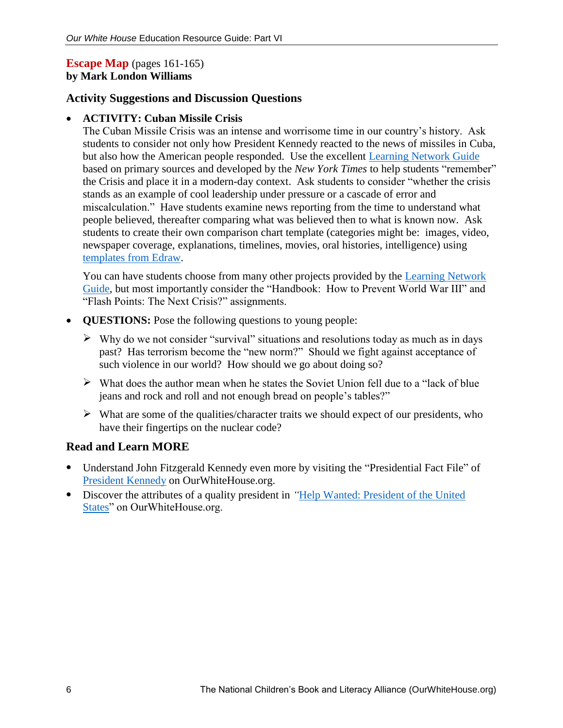## **Escape Map** (pages 161-165) **by Mark London Williams**

## **Activity Suggestions and Discussion Questions**

### **ACTIVITY: Cuban Missile Crisis**

The Cuban Missile Crisis was an intense and worrisome time in our country's history. Ask students to consider not only how President Kennedy reacted to the news of missiles in Cuba, but also how the American people responded. Use the excellent **Learning Network Guide** based on primary sources and developed by the *New York Times* to help students "remember" the Crisis and place it in a modern-day context. Ask students to consider "whether the crisis stands as an example of cool leadership under pressure or a cascade of error and miscalculation." Have students examine news reporting from the time to understand what people believed, thereafter comparing what was believed then to what is known now. Ask students to create their own comparison chart template (categories might be: images, video, newspaper coverage, explanations, timelines, movies, oral histories, intelligence) using [templates from Edraw.](https://www.edrawsoft.com/comparisoncharttemplate.php)

You can have students choose from many other projects provided by the [Learning Network](http://learning.blogs.nytimes.com/2012/10/23/flash-points-searching-for-modern-lessons-in-the-cuban-missile-crisis/?_r=1)  [Guide,](http://learning.blogs.nytimes.com/2012/10/23/flash-points-searching-for-modern-lessons-in-the-cuban-missile-crisis/?_r=1) but most importantly consider the "Handbook: How to Prevent World War III" and "Flash Points: The Next Crisis?" assignments.

- **QUESTIONS:** Pose the following questions to young people:
	- $\triangleright$  Why do we not consider "survival" situations and resolutions today as much as in days past? Has terrorism become the "new norm?" Should we fight against acceptance of such violence in our world? How should we go about doing so?
	- $\triangleright$  What does the author mean when he states the Soviet Union fell due to a "lack of blue" jeans and rock and roll and not enough bread on people's tables?"
	- $\triangleright$  What are some of the qualities/character traits we should expect of our presidents, who have their fingertips on the nuclear code?

- Understand John Fitzgerald Kennedy even more by visiting the "Presidential Fact File" of [President Kennedy](http://ourwhitehouse.org/john-fitzgerald-kennedy-1961-1963/) on OurWhiteHouse.org.
- Discover the attributes of a quality president in *"*[Help Wanted: President of the United](http://ourwhitehouse.org/help-wanted-president-of-the-united-states/)  [States"](http://ourwhitehouse.org/help-wanted-president-of-the-united-states/) on OurWhiteHouse.org.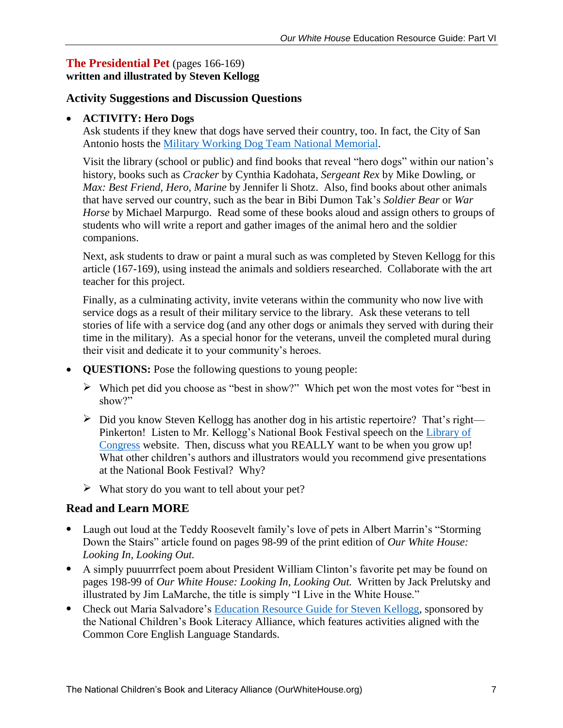## **The Presidential Pet** (pages 166-169) **written and illustrated by Steven Kellogg**

## **Activity Suggestions and Discussion Questions**

### **ACTIVITY: Hero Dogs**

Ask students if they knew that dogs have served their country, too. In fact, the City of San Antonio hosts the [Military Working Dog Team National Memorial.](http://web.archive.org/web/20140714202818/http:/www.jbmf.us/)

Visit the library (school or public) and find books that reveal "hero dogs" within our nation's history, books such as *Cracker* by Cynthia Kadohata, *Sergeant Rex* by Mike Dowling, or *Max: Best Friend, Hero, Marine* by Jennifer li Shotz. Also, find books about other animals that have served our country, such as the bear in Bibi Dumon Tak's *Soldier Bear* or *War Horse* by Michael Marpurgo. Read some of these books aloud and assign others to groups of students who will write a report and gather images of the animal hero and the soldier companions.

Next, ask students to draw or paint a mural such as was completed by Steven Kellogg for this article (167-169), using instead the animals and soldiers researched. Collaborate with the art teacher for this project.

Finally, as a culminating activity, invite veterans within the community who now live with service dogs as a result of their military service to the library. Ask these veterans to tell stories of life with a service dog (and any other dogs or animals they served with during their time in the military). As a special honor for the veterans, unveil the completed mural during their visit and dedicate it to your community's heroes.

- **QUESTIONS:** Pose the following questions to young people:
	- $\triangleright$  Which pet did you choose as "best in show?" Which pet won the most votes for "best in show?"
	- $\triangleright$  Did you know Steven Kellogg has another dog in his artistic repertoire? That's right— Pinkerton! Listen to Mr. Kellogg's National Book Festival speech on the Library of [Congress](https://www.youtube.com/watch?v=aC9-P0k1Pao) website. Then, discuss what you REALLY want to be when you grow up! What other children's authors and illustrators would you recommend give presentations at the National Book Festival? Why?
	- $\triangleright$  What story do you want to tell about your pet?

- Laugh out loud at the Teddy Roosevelt family's love of pets in Albert Marrin's "Storming" Down the Stairs" article found on pages 98-99 of the print edition of *Our White House: Looking In, Looking Out.*
- A simply puuurrrfect poem about President William Clinton's favorite pet may be found on pages 198-99 of *Our White House: Looking In, Looking Out.* Written by Jack Prelutsky and illustrated by Jim LaMarche, the title is simply "I Live in the White House."
- Check out Maria Salvadore's [Education Resource Guide for Steven Kellogg,](http://thencbla.org/wp-content/uploads/2015/07/Steven_Kellogg_Education_Resource_Guide.pdf) sponsored by the National Children's Book Literacy Alliance, which features activities aligned with the Common Core English Language Standards.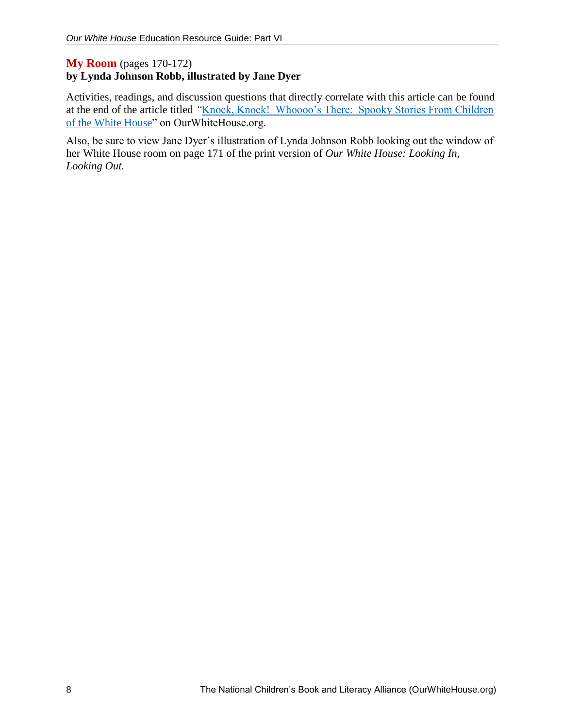## **My Room** (pages 170-172) **by Lynda Johnson Robb, illustrated by Jane Dyer**

Activities, readings, and discussion questions that directly correlate with this article can be found at the end of the article titled "Knock, Knock! Whoooo's There: Spooky Stories From Children [of the White House"](http://ourwhitehouse.org/knock-knock-whoooos-there/) on OurWhiteHouse.org.

Also, be sure to view Jane Dyer's illustration of Lynda Johnson Robb looking out the window of her White House room on page 171 of the print version of *Our White House: Looking In, Looking Out.*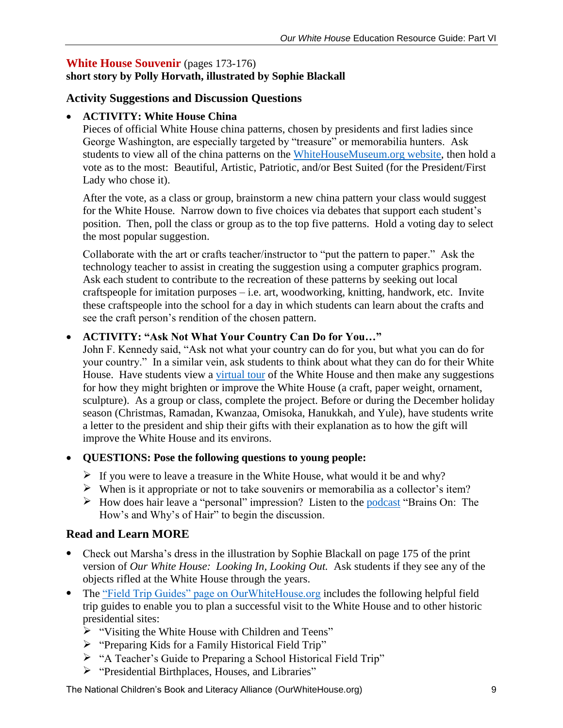## **White House Souvenir** (pages 173-176)

# **short story by Polly Horvath, illustrated by Sophie Blackall**

## **Activity Suggestions and Discussion Questions**

### **ACTIVITY: White House China**

Pieces of official White House china patterns, chosen by presidents and first ladies since George Washington, are especially targeted by "treasure" or memorabilia hunters. Ask students to view all of the china patterns on the [WhiteHouseMuseum.org website,](http://www.whitehousemuseum.org/furnishings/china.htm) then hold a vote as to the most: Beautiful, Artistic, Patriotic, and/or Best Suited (for the President/First Lady who chose it).

After the vote, as a class or group, brainstorm a new china pattern your class would suggest for the White House. Narrow down to five choices via debates that support each student's position. Then, poll the class or group as to the top five patterns. Hold a voting day to select the most popular suggestion.

Collaborate with the art or crafts teacher/instructor to "put the pattern to paper." Ask the technology teacher to assist in creating the suggestion using a computer graphics program. Ask each student to contribute to the recreation of these patterns by seeking out local craftspeople for imitation purposes – i.e. art, woodworking, knitting, handwork, etc. Invite these craftspeople into the school for a day in which students can learn about the crafts and see the craft person's rendition of the chosen pattern.

#### **ACTIVITY: "Ask Not What Your Country Can Do for You…"**

John F. Kennedy said, "Ask not what your country can do for you, but what you can do for your country." In a similar vein, ask students to think about what they can do for their White House. Have students view a [virtual tour](https://www.whitehouse.gov/blog/2012/04/03/youre-invited-take-virtual-tour-white-house) of the White House and then make any suggestions for how they might brighten or improve the White House (a craft, paper weight, ornament, sculpture). As a group or class, complete the project. Before or during the December holiday season (Christmas, Ramadan, Kwanzaa, Omisoka, Hanukkah, and Yule), have students write a letter to the president and ship their gifts with their explanation as to how the gift will improve the White House and its environs.

#### **QUESTIONS: Pose the following questions to young people:**

- If you were to leave a treasure in the White House, what would it be and why?
- $\triangleright$  When is it appropriate or not to take souvenirs or memorabilia as a collector's item?
- $\triangleright$  How does hair leave a "personal" impression? Listen to the [podcast](http://www.npr.org/podcasts/414697070/brains-on) "Brains On: The How's and Why's of Hair" to begin the discussion.

## **Read and Learn MORE**

- Check out Marsha's dress in the illustration by Sophie Blackall on page 175 of the print version of *Our White House: Looking In, Looking Out.* Ask students if they see any of the objects rifled at the White House through the years.
- The ["Field Trip Guides" page on OurWhiteHouse.org](http://ourwhitehouse.org/education-literacy/field-trip-guides/) includes the following helpful field trip guides to enable you to plan a successful visit to the White House and to other historic presidential sites:
	- > "Visiting the White House with Children and Teens"
	- > "Preparing Kids for a Family Historical Field Trip"
	- "A Teacher's Guide to Preparing a School Historical Field Trip"
	- $\triangleright$  "Presidential Birthplaces, Houses, and Libraries"

The National Children's Book and Literacy Alliance (OurWhiteHouse.org) 9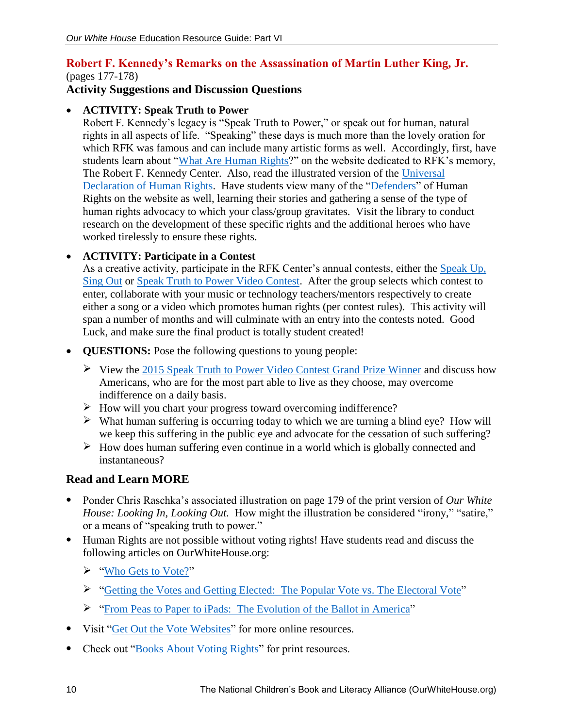## **Robert F. Kennedy's Remarks on the Assassination of Martin Luther King, Jr.** (pages 177-178)

# **Activity Suggestions and Discussion Questions**

### **ACTIVITY: Speak Truth to Power**

Robert F. Kennedy's legacy is "Speak Truth to Power," or speak out for human, natural rights in all aspects of life. "Speaking" these days is much more than the lovely oration for which RFK was famous and can include many artistic forms as well. Accordingly, first, have students learn about ["What Are Human Rights?](http://ourwhitehouse.org/education-literacy/field-trip-guides/)" on the website dedicated to RFK's memory, The Robert F. Kennedy Center. Also, read the illustrated version of the [Universal](http://www.un.org/en/udhrbook/#1)  [Declaration of Human Rights.](http://www.un.org/en/udhrbook/#1) Have students view many of the ["Defenders"](http://rfkhumanrights.org/what-we-do/speak-truth-power/defenders-curriculum/) of Human Rights on the website as well, learning their stories and gathering a sense of the type of human rights advocacy to which your class/group gravitates. Visit the library to conduct research on the development of these specific rights and the additional heroes who have worked tirelessly to ensure these rights.

#### **ACTIVITY: Participate in a Contest**

As a creative activity, participate in the RFK Center's annual contests, either the Speak Up, [Sing Out](http://rfkhumanrights.org/what-we-do/speak-truth-power/contests/speak-sing-out-music-contest/?edit&language=en-us) or [Speak Truth to Power Video Contest.](http://rfkhumanrights.org/what-we-do/speak-truth-power/contests/speak-truth-power-video-contest/?edit&language=en-us) After the group selects which contest to enter, collaborate with your music or technology teachers/mentors respectively to create either a song or a video which promotes human rights (per contest rules). This activity will span a number of months and will culminate with an entry into the contests noted. Good Luck, and make sure the final product is totally student created!

- **QUESTIONS:** Pose the following questions to young people:
	- $\triangleright$  View the 2015 [Speak Truth to Power Video Contest Grand Prize Winner](http://rfkhumanrights.org/what-we-do/speak-truth-power/contests/speak-truth-power-video-contest/?edit&language=en-us) and discuss how Americans, who are for the most part able to live as they choose, may overcome indifference on a daily basis.
	- How will you chart your progress toward overcoming indifference?
	- $\triangleright$  What human suffering is occurring today to which we are turning a blind eye? How will we keep this suffering in the public eye and advocate for the cessation of such suffering?
	- $\triangleright$  How does human suffering even continue in a world which is globally connected and instantaneous?

- Ponder Chris Raschka's associated illustration on page 179 of the print version of *Our White House: Looking In, Looking Out.* How might the illustration be considered "irony," "satire," or a means of "speaking truth to power."
- Human Rights are not possible without voting rights! Have students read and discuss the following articles on OurWhiteHouse.org:
	- ["Who Gets to Vote?"](http://ourwhitehouse.org/who-gets-to-vote/)
	- ["Getting the Votes and Getting Elected: The Popular Vote vs. The Electoral Vote"](http://ourwhitehouse.org/getting-the-votes-and-getting-elected-the-popular-vote-vs-the-electoral-college/)
	- ["From Peas to Paper to iPads: The Evolution of the Ballot in America"](http://ourwhitehouse.org/from-peas-to-paper-to-ipads/)
- Visit ["Get Out the Vote Websites"](http://ourwhitehouse.org/get-out-the-vote-websites/) for more online resources.
- Check out ["Books About Voting Rights"](http://ourwhitehouse.org/books-about-voting-rights/) for print resources.